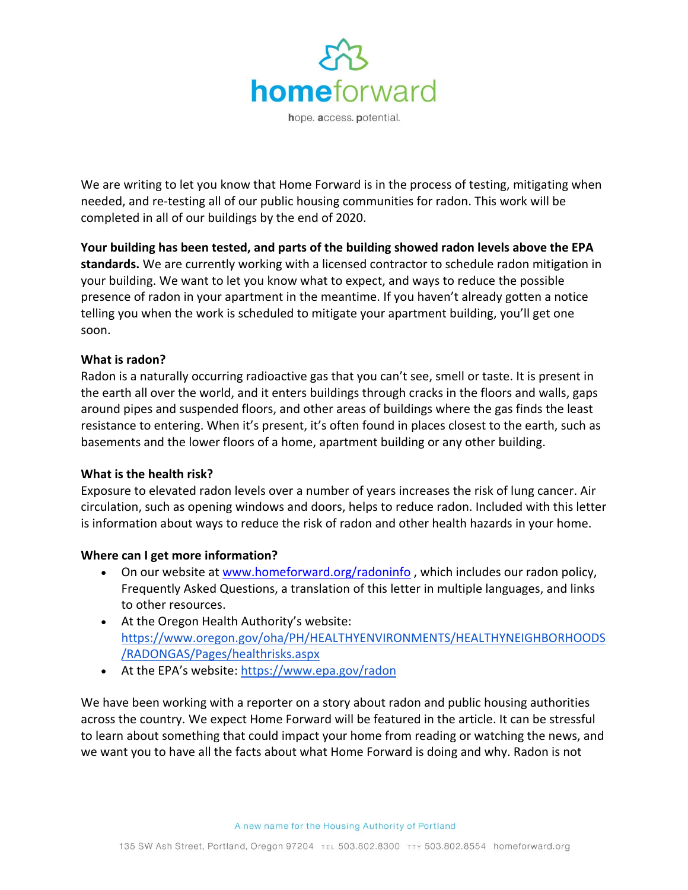

We are writing to let you know that Home Forward is in the process of testing, mitigating when needed, and re-testing all of our public housing communities for radon. This work will be completed in all of our buildings by the end of 2020.

**Your building has been tested, and parts of the building showed radon levels above the EPA standards.** We are currently working with a licensed contractor to schedule radon mitigation in your building. We want to let you know what to expect, and ways to reduce the possible presence of radon in your apartment in the meantime. If you haven't already gotten a notice telling you when the work is scheduled to mitigate your apartment building, you'll get one soon.

## **What is radon?**

Radon is a naturally occurring radioactive gas that you can't see, smell or taste. It is present in the earth all over the world, and it enters buildings through cracks in the floors and walls, gaps around pipes and suspended floors, and other areas of buildings where the gas finds the least resistance to entering. When it's present, it's often found in places closest to the earth, such as basements and the lower floors of a home, apartment building or any other building.

## **What is the health risk?**

Exposure to elevated radon levels over a number of years increases the risk of lung cancer. Air circulation, such as opening windows and doors, helps to reduce radon. Included with this letter is information about ways to reduce the risk of radon and other health hazards in your home.

## **Where can I get more information?**

- On our website at [www.homeforward.org/radoninfo](http://www.homeforward.org/radoninfo) , which includes our radon policy, Frequently Asked Questions, a translation of this letter in multiple languages, and links to other resources.
- At the Oregon Health Authority's website: [https://www.oregon.gov/oha/PH/HEALTHYENVIRONMENTS/HEALTHYNEIGHBORHOODS](https://www.oregon.gov/oha/PH/HEALTHYENVIRONMENTS/HEALTHYNEIGHBORHOODS/RADONGAS/Pages/healthrisks.aspx) [/RADONGAS/Pages/healthrisks.aspx](https://www.oregon.gov/oha/PH/HEALTHYENVIRONMENTS/HEALTHYNEIGHBORHOODS/RADONGAS/Pages/healthrisks.aspx)
- At the EPA's website: <https://www.epa.gov/radon>

We have been working with a reporter on a story about radon and public housing authorities across the country. We expect Home Forward will be featured in the article. It can be stressful to learn about something that could impact your home from reading or watching the news, and we want you to have all the facts about what Home Forward is doing and why. Radon is not